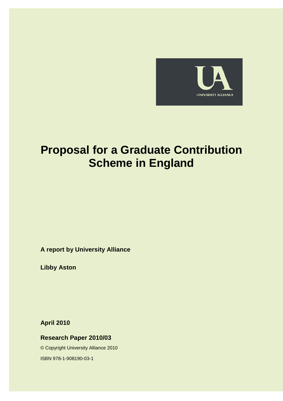

# **Proposal for a Graduate Contribution Scheme in England**

**A report by University Alliance** 

**Libby Aston** 

**April 2010** 

**Research Paper 2010/03** 

© Copyright University Alliance 2010

ISBN 978-1-908190-03-1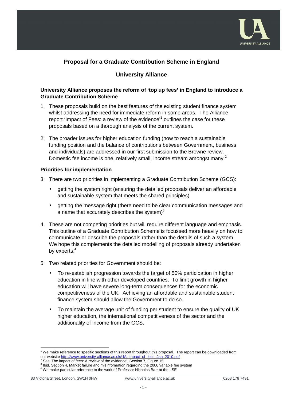

# **Proposal for a Graduate Contribution Scheme in England**

# **University Alliance**

## **University Alliance proposes the reform of 'top up fees' in England to introduce a Graduate Contribution Scheme**

- 1. These proposals build on the best features of the existing student finance system whilst addressing the need for immediate reform in some areas. The Alliance report 'Impact of Fees: a review of the evidence'<sup>1</sup> outlines the case for these proposals based on a thorough analysis of the current system.
- 2. The broader issues for higher education funding (how to reach a sustainable funding position and the balance of contributions between Government, business and individuals) are addressed in our first submission to the Browne review. Domestic fee income is one, relatively small, income stream amongst many.<sup>2</sup>

#### **Priorities for implementation**

- 3. There are two priorities in implementing a Graduate Contribution Scheme (GCS):
	- getting the system right (ensuring the detailed proposals deliver an affordable and sustainable system that meets the shared principles)
	- getting the message right (there need to be clear communication messages and a name that accurately describes the system) $3$
- 4. These are not competing priorities but will require different language and emphasis. This outline of a Graduate Contribution Scheme is focussed more heavily on how to communicate or describe the proposals rather than the details of such a system. We hope this complements the detailed modelling of proposals already undertaken by experts.<sup>4</sup>
- 5. Two related priorities for Government should be:
	- To re-establish progression towards the target of 50% participation in higher education in line with other developed countries. To limit growth in higher education will have severe long-term consequences for the economic competitiveness of the UK. Achieving an affordable and sustainable student finance system should allow the Government to do so.
	- To maintain the average unit of funding per student to ensure the quality of UK higher education, the international competitiveness of the sector and the additionality of income from the GCS.

 <sup>1</sup> We make reference to specific sections of this report throughout this proposal. The report can be downloaded from our website http://www.university-alliance.ac.uk/UA\_impact\_of\_fees\_Jan\_2010.pdf<br><sup>2</sup> See 'The impact of fees: A review of the evidence', Section 7, Figure 15

See 'The impact of fees: A review of the evidence', Section 7, Figure 15

 $3$  Ibid. Section 4, Market failure and misinformation regarding the 2006 variable fee system

<sup>&</sup>lt;sup>4</sup> We make particular reference to the work of Professor Nicholas Barr at the LSE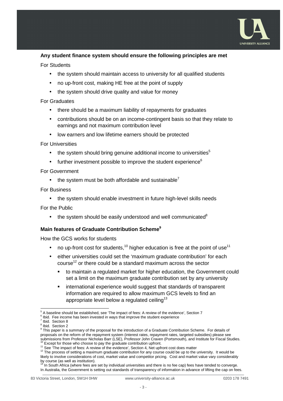

#### **Any student finance system should ensure the following principles are met**

#### For Students

- the system should maintain access to university for all qualified students
- no up-front cost, making HE free at the point of supply
- the system should drive quality and value for money

#### For Graduates

- there should be a maximum liability of repayments for graduates
- contributions should be on an income-contingent basis so that they relate to earnings and not maximum contribution level
- low earners and low lifetime earners should be protected

#### For Universities

- the system should bring genuine additional income to universities $5$
- further investment possible to improve the student experience $6$

#### For Government

• the system must be both affordable and sustainable<sup>7</sup>

#### For Business

• the system should enable investment in future high-level skills needs

For the Public

 $\bullet$  the system should be easily understood and well communicated<sup>8</sup>

## **Main features of Graduate Contribution Scheme<sup>9</sup>**

How the GCS works for students

- no up-front cost for students,<sup>10</sup> higher education is free at the point of use<sup>11</sup>
- either universities could set the 'maximum graduate contribution' for each course<sup>12</sup> or there could be a standard maximum across the sector
	- to maintain a regulated market for higher education, the Government could set a limit on the maximum graduate contribution set by any university
	- **EXTERN** international experience would suggest that standards of transparent information are required to allow maximum GCS levels to find an appropriate level below a regulated ceiling<sup>13</sup>

 $<sup>7</sup>$  Ibid. Section 8</sup> 8

 $\overline{a}$ 

Ibid. Section 2

<sup>5</sup> A baseline should be established, see 'The impact of fees: A review of the evidence', Section 7

<sup>6</sup> Ibid. Fee income has been invested in ways that improve the student experience

<sup>&</sup>lt;sup>9</sup> This paper is a summary of the proposal for the introduction of a Graduate Contribution Scheme. For details of proposals on the reform of the repayment system (interest rates, repayment rates, targeted subsidies) please see submissions from Professor Nicholas Barr (LSE), Professor John Craven (Portsmouth), and Institute for Fiscal Studies. Except for those who choose to pay the graduate contribution upfront.

<sup>&</sup>lt;sup>11</sup> See 'The impact of fees: A review of the evidence', Section 4, Net upfront cost does matter

<sup>&</sup>lt;sup>12</sup> The process of setting a maximum graduate contribution for any course could be up to the university. It would be likely to involve considerations of cost, market value and competitor pricing. Cost and market value vary considerably

by course (as well as institution).<br><sup>13</sup> In South Africa (where fees are set by individual universities and there is no fee cap) fees have tended to converge. In Australia, the Government is setting out standards of transparency of information in advance of lifting the cap on fees.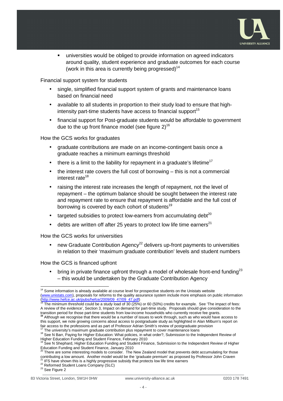

 universities would be obliged to provide information on agreed indicators around quality, student experience and graduate outcomes for each course (work in this area is currently being progressed)<sup>14</sup>

Financial support system for students

- single, simplified financial support system of grants and maintenance loans based on financial need
- available to all students in proportion to their study load to ensure that highintensity part-time students have access to financial support<sup>15</sup>
- financial support for Post-graduate students would be affordable to government due to the up front finance model (see figure  $2)^{16}$

How the GCS works for graduates

- graduate contributions are made on an income-contingent basis once a graduate reaches a minimum earnings threshold
- there is a limit to the liability for repayment in a graduate's lifetime<sup>17</sup>
- the interest rate covers the full cost of borrowing this is not a commercial interest rate<sup>18</sup>
- raising the interest rate increases the length of repayment, not the level of repayment – the optimum balance should be sought between the interest rate and repayment rate to ensure that repayment is affordable and the full cost of borrowing is covered by each cohort of students<sup>19</sup>
- targeted subsidies to protect low-earners from accumulating debt<sup>20</sup>
- debts are written off after 25 years to protect low life time earners<sup>21</sup>

How the GCS works for universities

• new Graduate Contribution Agency<sup>22</sup> delivers up-front payments to universities in relation to their 'maximum graduate contribution' levels and student numbers

How the GCS is financed upfront

bring in private finance upfront through a model of wholesale front-end funding<sup>23</sup> – this would be undertaken by the Graduate Contribution Agency

<sup>23</sup> See Figure 2

 $\overline{a}$  $14$  Some information is already available at course level for prospective students on the Unistats website (www.unistats.com), proposals for reforms to the quality assurance system include more emphasis on public information (http://www.hefce.ac.uk/pubs/hefce/2009/09\_47/09\_47.pdf)

<sup>15</sup> The minimum threshold could be a study load of 30 (25%) or 60 (50%) credits for example. See 'The impact of fees: A review of the evidence', Section 3, Impact on demand for part-time study. Proposals should give consideration to the transition period for those part-time students from low-income households who currently receive fee grants.<br><sup>16</sup> Although we recognise that there would be a number of issues to work through, such as who would have access t this support, we note growing concerns about access to postgraduate study as highlighted in Alan Milburn's report on fair access to the professions and as part of Professor Adrian Smith's review of postgraduate provision

 $17$  The university's maximum graduate contribution plus repayment to cover maintenance loans

<sup>&</sup>lt;sup>18</sup> See N Barr, Paying for Higher Education: What policies, in what order?, Submission to the Independent Review of Higher Education Funding and Student Finance, February 2010

<sup>&</sup>lt;sup>9</sup> See N Shephard, Higher Education Funding and Student Finance, Submission to the Independent Review of Higher Education Funding and Student Finance, January 2010<br><sup>20</sup> There are some interesting models to consider. The New Zealand model that prevents debt accumulating for those

contributing a low amount. Another model would be the 'graduate premium' as proposed by Professor John Craven IFS have shown this is a highly progressive subsidy that protects low life time earners

<sup>&</sup>lt;sup>22</sup> Reformed Student Loans Company (SLC)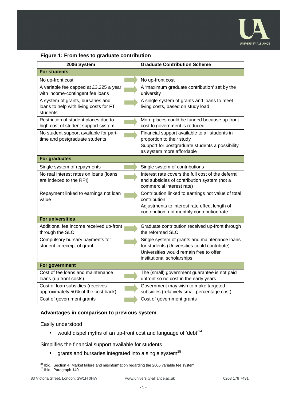

## **Figure 1: From fees to graduate contribution**

| 2006 System                                                                             | <b>Graduate Contribution Scheme</b>                                                                                                                                    |
|-----------------------------------------------------------------------------------------|------------------------------------------------------------------------------------------------------------------------------------------------------------------------|
| <b>For students</b>                                                                     |                                                                                                                                                                        |
| No up-front cost                                                                        | No up-front cost                                                                                                                                                       |
| A variable fee capped at £3,225 a year<br>with income-contingent fee loans              | A 'maximum graduate contribution' set by the<br>university                                                                                                             |
| A system of grants, bursaries and<br>loans to help with living costs for FT<br>students | A single system of grants and loans to meet<br>living costs, based on study load                                                                                       |
| Restriction of student places due to<br>high cost of student support system             | More places could be funded because up-front<br>cost to government is reduced                                                                                          |
| No student support available for part-<br>time and postgraduate students                | Financial support available to all students in<br>proportion to their study<br>Support for postgraduate students a possibility<br>as system more affordable            |
| <b>For graduates</b>                                                                    |                                                                                                                                                                        |
| Single system of repayments                                                             | Single system of contributions                                                                                                                                         |
| No real interest rates on loans (loans<br>are indexed to the RPI)                       | Interest rate covers the full cost of the deferral<br>and subsidies of contribution system (not a<br>commercial interest rate)                                         |
| Repayment linked to earnings not loan<br>value                                          | Contribution linked to earnings not value of total<br>contribution<br>Adjustments to interest rate effect length of<br>contribution, not monthly contribution rate     |
| <b>For universities</b>                                                                 |                                                                                                                                                                        |
| Additional fee income received up-front<br>through the SLC                              | Graduate contribution received up-front through<br>the reformed SLC                                                                                                    |
| Compulsory bursary payments for<br>student in receipt of grant                          | Single system of grants and maintenance loans<br>for students (Universities could contribute)<br>Universities would remain free to offer<br>institutional scholarships |
| For government                                                                          |                                                                                                                                                                        |
| Cost of fee loans and maintenance<br>loans (up front costs)                             | The (small) government guarantee is not paid<br>upfront so no cost in the early years                                                                                  |
| Cost of loan subsidies (receives<br>approximately 50% of the cost back)                 | Government may wish to make targeted<br>subsidies (relatively small percentage cost)                                                                                   |
| Cost of government grants                                                               | Cost of government grants                                                                                                                                              |

#### **Advantages in comparison to previous system**

Easily understood

• would dispel myths of an up-front cost and language of 'debt'<sup>24</sup>

Simplifies the financial support available for students

• grants and bursaries integrated into a single system $^{25}$ 

  $24$  Ibid. Section 4, Market failure and misinformation regarding the 2006 variable fee system <sup>25</sup> Ibid. Paragraph 140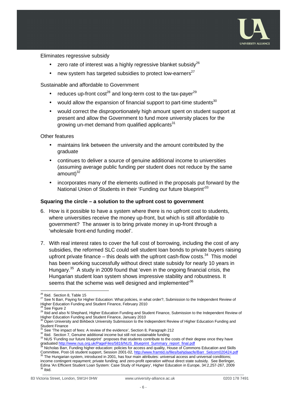

Eliminates regressive subsidy

- zero rate of interest was a highly regressive blanket subsidy $^{26}$
- new system has targeted subsidies to protect low-earners<sup>27</sup>

Sustainable and affordable to Government

- reduces up-front cost<sup>28</sup> and long-term cost to the tax-payer<sup>29</sup>
- would allow the expansion of financial support to part-time students<sup>30</sup>
- would correct the disproportionately high amount spent on student support at present and allow the Government to fund more university places for the growing un-met demand from qualified applicants<sup>31</sup>

Other features

- maintains link between the university and the amount contributed by the graduate
- continues to deliver a source of genuine additional income to universities (assuming average public funding per student does not reduce by the same  $amount)^{32}$
- incorporates many of the elements outlined in the proposals put forward by the National Union of Students in their 'Funding our future blueprint'<sup>33</sup>

#### **Squaring the circle – a solution to the upfront cost to government**

- 6. How is it possible to have a system where there is no upfront cost to students, where universities receive the money up-front, but which is still affordable to government? The answer is to bring private money in up-front through a 'wholesale front-end funding model'.
- 7. With real interest rates to cover the full cost of borrowing, including the cost of any subsidies, the reformed SLC could sell student loan bonds to private buyers raising upfront private finance  $-$  this deals with the upfront cash-flow costs. $34$  This model has been working successfully without direct state subsidy for nearly 10 years in Hungary.<sup>35</sup> A study in 2009 found that 'even in the ongoing financial crisis, the Hungarian student loan system shows impressive stability and robustness. It seems that the scheme was well designed and implemented<sup>36</sup>

1

<sup>&</sup>lt;sup>26</sup> Ibid. Section 8, Table 15

<sup>27</sup> See N Barr, Paying for Higher Education: What policies, in what order?, Submission to the Independent Review of Higher Education Funding and Student Finance, February 2010

See Figure 2

<sup>29</sup> Ibid and also N Shephard, Higher Education Funding and Student Finance, Submission to the Independent Review of

Higher Education Funding and Student Finance, January 2010<br><sup>30</sup> Open University and Birkbeck University Submission to the Independent Review of Higher Education Funding and Student Finance

 $31$  See 'The impact of fees: A review of the evidence', Section 8, Paragraph 212

<sup>&</sup>lt;sup>32</sup> Ibid. Section 7, Genuine additional income but still not sustainable funding

<sup>33</sup> NUS 'Funding our future blueprint' proposes that students contribute to the costs of their degree once they have graduated http://www.nus.org.uk/PageFiles/5816/NUS\_Blueprint\_Summary\_report\_final.pdf

Nicholas Barr, Funding higher education: policies for access and quality, House of Commons Education and Skills Committee, Post-16 student support, Session 2001-02, http://www.framtid.is/files/bahjdaacfe/Barr\_Selcom020424.pdf The Hungarian system, introduced in 2001, has four main attributes: universal access and universal conditions;

income contingent repayment; private funding; and zero-profit operation without direct state subsidy. See Berlinger, Edina 'An Efficient Student Loan System: Case Study of Hungary', Higher Education in Europe, 34:2,257-267, 2009  $^6$  Ibid.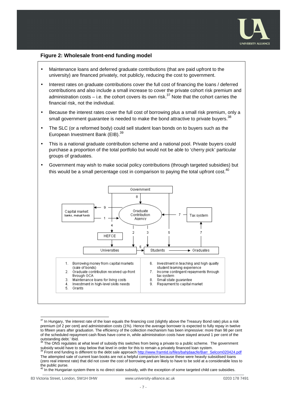

#### **Figure 2: Wholesale front-end funding model**

- Maintenance loans and deferred graduate contributions (that are paid upfront to the university) are financed privately, not publicly, reducing the cost to government.
- Interest rates on graduate contributions cover the full cost of financing the loans / deferred contributions and also include a small increase to cover the private cohort risk premium and administration costs – i.e. the cohort covers its own risk.<sup>37</sup> Note that the cohort carries the financial risk, not the individual.
- Because the interest rates cover the full cost of borrowing plus a small risk premium, only a small government guarantee is needed to make the bond attractive to private buyers.<sup>38</sup>
- The SLC (or a reformed body) could sell student loan bonds on to buyers such as the European Investment Bank (EIB).<sup>39</sup>
- This is a national graduate contribution scheme and a national pool. Private buyers could purchase a proportion of the total portfolio but would not be able to 'cherry pick' particular groups of graduates.
- Government may wish to make social policy contributions (through targeted subsidies) but this would be a small percentage cost in comparison to paying the total upfront cost.  $40$



 $\overline{a}$  $37$  In Hungary, 'the interest rate of the loan equals the financing cost (slightly above the Treasury Bond rate) plus a risk premium (of 2 per cent) and administration costs (1%). Hence the average borrower is expected to fully repay in twelve to fifteen years after graduation. The efficiency of the collection mechanism has been impressive: more than 98 per cent of the scheduled repayment cash flows have come in, while administration costs have stayed around 1 per cent of the outstanding debt.' Ibid.

The ONS regulates at what level of subsidy this switches from being a private to a public scheme. The government subsidy would have to stay below that level in order for this to remain a privately financed loan system.<br><sup>39</sup> Front end funding is different to the debt sale approach <u>http://www.framtid.is/files/bahjdaacfe/Barr\_Selcom020</u>

The attempted sale of current loan books are not a helpful comparison because these were heavily subsidised loans (zero real interest rate) that did not cover the cost of borrowing and are likely to have to be sold at a considerable loss to the public purse.

 $^{40}$  In the Hungarian system there is no direct state subsidy, with the exception of some targeted child care subsidies.